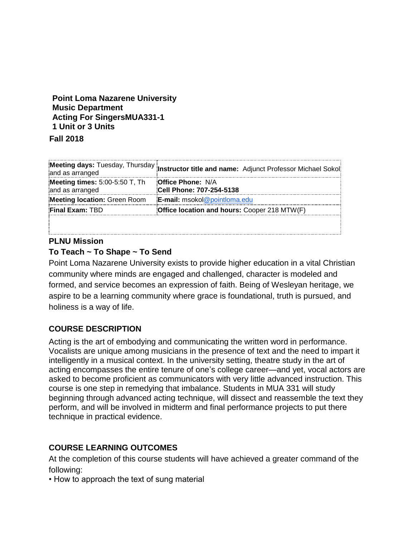# **Point Loma Nazarene University Music Department Acting For SingersMUA331-1 1 Unit or 3 Units**

**Fall 2018**

| and as arranged                                   | Meeting days: Tuesday, Thursday Instructor title and name: Adjunct Professor Michael Sokol |
|---------------------------------------------------|--------------------------------------------------------------------------------------------|
| Meeting times: 5:00-5:50 T, Th<br>and as arranged | <b>Office Phone: N/A</b><br><b>Cell Phone: 707-254-5138</b>                                |
| Meeting location: Green Room                      | <b>E-mail:</b> msokol@pointloma.edu                                                        |
| <b>Final Exam: TBD</b>                            | Office location and hours: Cooper 218 MTW(F)                                               |
|                                                   |                                                                                            |

# **PLNU Mission**

# **To Teach ~ To Shape ~ To Send**

Point Loma Nazarene University exists to provide higher education in a vital Christian community where minds are engaged and challenged, character is modeled and formed, and service becomes an expression of faith. Being of Wesleyan heritage, we aspire to be a learning community where grace is foundational, truth is pursued, and holiness is a way of life.

# **COURSE DESCRIPTION**

Acting is the art of embodying and communicating the written word in performance. Vocalists are unique among musicians in the presence of text and the need to impart it intelligently in a musical context. In the university setting, theatre study in the art of acting encompasses the entire tenure of one's college career—and yet, vocal actors are asked to become proficient as communicators with very little advanced instruction. This course is one step in remedying that imbalance. Students in MUA 331 will study beginning through advanced acting technique, will dissect and reassemble the text they perform, and will be involved in midterm and final performance projects to put there technique in practical evidence.

# **COURSE LEARNING OUTCOMES**

At the completion of this course students will have achieved a greater command of the following:

• How to approach the text of sung material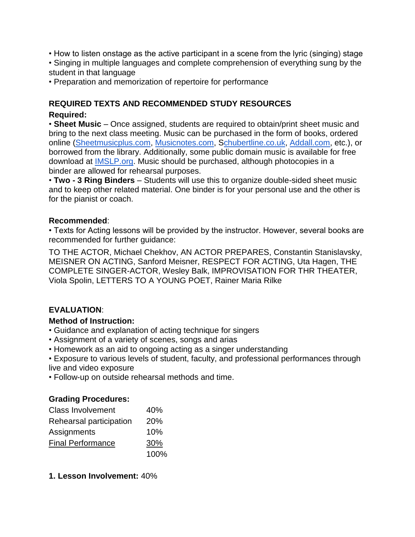- How to listen onstage as the active participant in a scene from the lyric (singing) stage
- Singing in multiple languages and complete comprehension of everything sung by the student in that language
- Preparation and memorization of repertoire for performance

### **REQUIRED TEXTS AND RECOMMENDED STUDY RESOURCES Required:**

• **Sheet Music** – Once assigned, students are required to obtain/print sheet music and bring to the next class meeting. Music can be purchased in the form of books, ordered online [\(Sheetmusicplus.com,](http://sheetmusicplus.com/) [Musicnotes.com,](http://musicnotes.com/) [Schubertline.co.uk,](http://chubertline.co.uk/) [Addall.com,](http://addall.com/) etc.), or borrowed from the library. Additionally, some public domain music is available for free download at [IMSLP.org.](http://imslp.org/) Music should be purchased, although photocopies in a binder are allowed for rehearsal purposes.

• **Two - 3 Ring Binders** – Students will use this to organize double-sided sheet music and to keep other related material. One binder is for your personal use and the other is for the pianist or coach.

### **Recommended**:

• Texts for Acting lessons will be provided by the instructor. However, several books are recommended for further guidance:

TO THE ACTOR, Michael Chekhov, AN ACTOR PREPARES, Constantin Stanislavsky, MEISNER ON ACTING, Sanford Meisner, RESPECT FOR ACTING, Uta Hagen, THE COMPLETE SINGER-ACTOR, Wesley Balk, IMPROVISATION FOR THR THEATER, Viola Spolin, LETTERS TO A YOUNG POET, Rainer Maria Rilke

# **EVALUATION**:

### **Method of Instruction:**

- Guidance and explanation of acting technique for singers
- Assignment of a variety of scenes, songs and arias
- Homework as an aid to ongoing acting as a singer understanding

• Exposure to various levels of student, faculty, and professional performances through live and video exposure

• Follow-up on outside rehearsal methods and time.

# **Grading Procedures:**

| <b>Class Involvement</b> | 40%  |
|--------------------------|------|
| Rehearsal participation  | 20%  |
| Assignments              | 10%  |
| <b>Final Performance</b> | 30%  |
|                          | 100% |

**1. Lesson Involvement:** 40%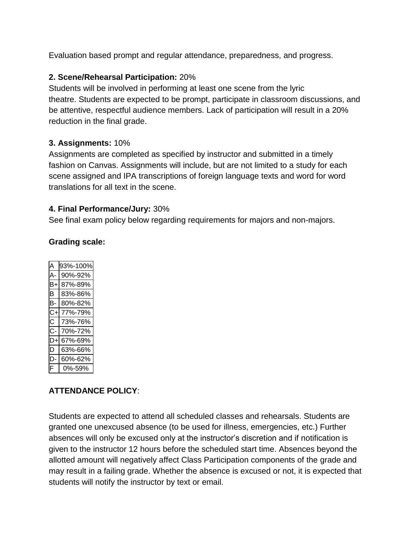Evaluation based prompt and regular attendance, preparedness, and progress.

### **2. Scene/Rehearsal Participation:** 20%

Students will be involved in performing at least one scene from the lyric theatre. Students are expected to be prompt, participate in classroom discussions, and be attentive, respectful audience members. Lack of participation will result in a 20% reduction in the final grade.

# **3. Assignments:** 10%

Assignments are completed as specified by instructor and submitted in a timely fashion on Canvas. Assignments will include, but are not limited to a study for each scene assigned and IPA transcriptions of foreign language texts and word for word translations for all text in the scene.

# **4. Final Performance/Jury:** 30%

See final exam policy below regarding requirements for majors and non-majors.

|    | 93%-100% |
|----|----------|
|    | 90%-92%  |
| B+ | 87%-89%  |
| B  | 83%-86%  |
| в- | 80%-82%  |
| C+ | 77%-79%  |
| С  | 73%-76%  |
| С- | 70%-72%  |
| D+ | 67%-69%  |
| D  | 63%-66%  |
| D  | 60%-62%  |
| F  | 0%-59%   |

# **Grading scale:**

# **ATTENDANCE POLICY**:

Students are expected to attend all scheduled classes and rehearsals. Students are granted one unexcused absence (to be used for illness, emergencies, etc.) Further absences will only be excused only at the instructor's discretion and if notification is given to the instructor 12 hours before the scheduled start time. Absences beyond the allotted amount will negatively affect Class Participation components of the grade and may result in a failing grade. Whether the absence is excused or not, it is expected that students will notify the instructor by text or email.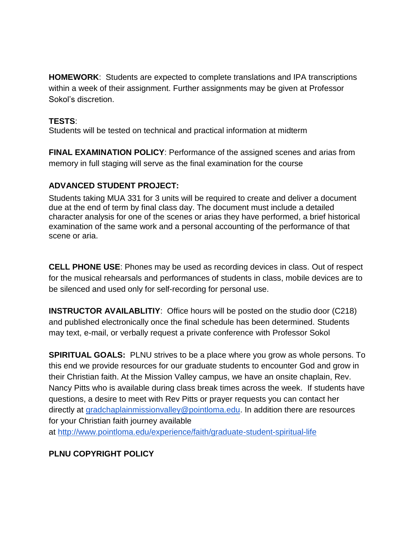**HOMEWORK**: Students are expected to complete translations and IPA transcriptions within a week of their assignment. Further assignments may be given at Professor Sokol's discretion.

# **TESTS**:

Students will be tested on technical and practical information at midterm

**FINAL EXAMINATION POLICY**: Performance of the assigned scenes and arias from memory in full staging will serve as the final examination for the course

# **ADVANCED STUDENT PROJECT:**

Students taking MUA 331 for 3 units will be required to create and deliver a document due at the end of term by final class day. The document must include a detailed character analysis for one of the scenes or arias they have performed, a brief historical examination of the same work and a personal accounting of the performance of that scene or aria.

**CELL PHONE USE**: Phones may be used as recording devices in class. Out of respect for the musical rehearsals and performances of students in class, mobile devices are to be silenced and used only for self-recording for personal use.

**INSTRUCTOR AVAILABLITIY**: Office hours will be posted on the studio door (C218) and published electronically once the final schedule has been determined. Students may text, e-mail, or verbally request a private conference with Professor Sokol

**SPIRITUAL GOALS:** PLNU strives to be a place where you grow as whole persons. To this end we provide resources for our graduate students to encounter God and grow in their Christian faith. At the Mission Valley campus, we have an onsite chaplain, Rev. Nancy Pitts who is available during class break times across the week. If students have questions, a desire to meet with Rev Pitts or prayer requests you can contact her directly at [gradchaplainmissionvalley@pointloma.edu.](mailto:gradchaplainmissionvalley@pointloma.edu) In addition there are resources for your Christian faith journey available at <http://www.pointloma.edu/experience/faith/graduate-student-spiritual-life>

# **PLNU COPYRIGHT POLICY**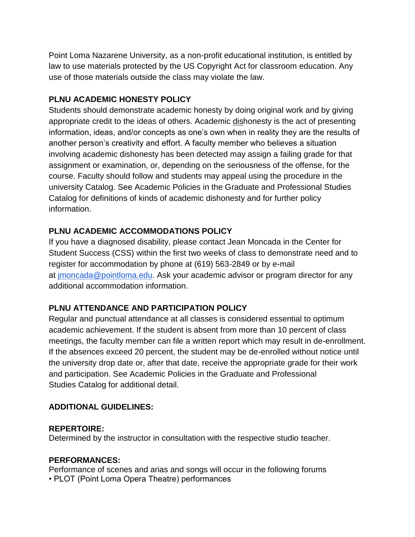Point Loma Nazarene University, as a non-profit educational institution, is entitled by law to use materials protected by the US Copyright Act for classroom education. Any use of those materials outside the class may violate the law.

### **PLNU ACADEMIC HONESTY POLICY**

Students should demonstrate academic honesty by doing original work and by giving appropriate credit to the ideas of others. Academic dishonesty is the act of presenting information, ideas, and/or concepts as one's own when in reality they are the results of another person's creativity and effort. A faculty member who believes a situation involving academic dishonesty has been detected may assign a failing grade for that assignment or examination, or, depending on the seriousness of the offense, for the course. Faculty should follow and students may appeal using the procedure in the university Catalog. See Academic Policies in the Graduate and Professional Studies Catalog for definitions of kinds of academic dishonesty and for further policy information.

# **PLNU ACADEMIC ACCOMMODATIONS POLICY**

If you have a diagnosed disability, please contact Jean Moncada in the Center for Student Success (CSS) within the first two weeks of class to demonstrate need and to register for accommodation by phone at (619) 563-2849 or by e-mail at [jmoncada@pointloma.edu.](mailto:jmoncada@pointloma.edu) Ask your academic advisor or program director for any additional accommodation information.

### **PLNU ATTENDANCE AND PARTICIPATION POLICY**

Regular and punctual attendance at all classes is considered essential to optimum academic achievement. If the student is absent from more than 10 percent of class meetings, the faculty member can file a written report which may result in de-enrollment. If the absences exceed 20 percent, the student may be de-enrolled without notice until the university drop date or, after that date, receive the appropriate grade for their work and participation. See Academic Policies in the Graduate and Professional Studies Catalog for additional detail.

### **ADDITIONAL GUIDELINES:**

#### **REPERTOIRE:**

Determined by the instructor in consultation with the respective studio teacher.

### **PERFORMANCES:**

Performance of scenes and arias and songs will occur in the following forums • PLOT (Point Loma Opera Theatre) performances